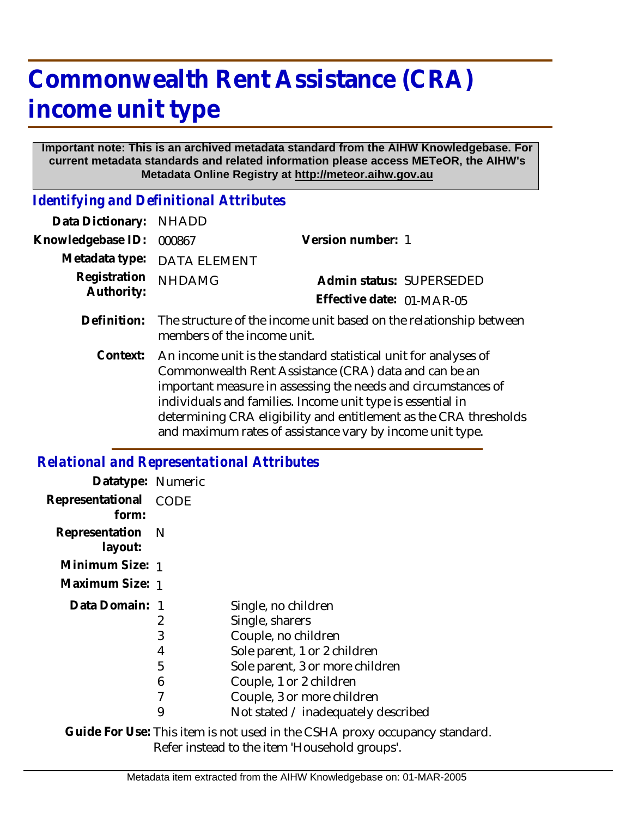## **Commonwealth Rent Assistance (CRA) income unit type**

## **Important note: This is an archived metadata standard from the AIHW Knowledgebase. For current metadata standards and related information please access METeOR, the AIHW's Metadata Online Registry at http://meteor.aihw.gov.au**

*Identifying and Definitional Attributes*

| Data Dictionary:                             | <b>NHADD</b>                                                                                                                                                                                                                                                                                                                                                                              |                           |
|----------------------------------------------|-------------------------------------------------------------------------------------------------------------------------------------------------------------------------------------------------------------------------------------------------------------------------------------------------------------------------------------------------------------------------------------------|---------------------------|
| Knowledgebase ID:                            | 000867                                                                                                                                                                                                                                                                                                                                                                                    | Version number: 1         |
| Metadata type:<br>Registration<br>Authority: | <b>DATA ELEMENT</b>                                                                                                                                                                                                                                                                                                                                                                       |                           |
|                                              | <b>NHDAMG</b>                                                                                                                                                                                                                                                                                                                                                                             | Admin status: SUPERSEDED  |
|                                              |                                                                                                                                                                                                                                                                                                                                                                                           | Effective date: 01-MAR-05 |
| Definition:                                  | The structure of the income unit based on the relationship between<br>members of the income unit.                                                                                                                                                                                                                                                                                         |                           |
| Context:                                     | An income unit is the standard statistical unit for analyses of<br>Commonwealth Rent Assistance (CRA) data and can be an<br>important measure in assessing the needs and circumstances of<br>individuals and families. Income unit type is essential in<br>determining CRA eligibility and entitlement as the CRA thresholds<br>and maximum rates of assistance vary by income unit type. |                           |

## *Relational and Representational Attributes*

| Datatype: Numeric         |             |                                     |
|---------------------------|-------------|-------------------------------------|
| Representational<br>form: | <b>CODE</b> |                                     |
| Representation<br>layout: | - N         |                                     |
| Minimum Size: 1           |             |                                     |
| Maximum Size: 1           |             |                                     |
| Data Domain: 1            |             | Single, no children                 |
|                           | 2           | Single, sharers                     |
|                           | 3           | Couple, no children                 |
|                           | 4           | Sole parent, 1 or 2 children        |
|                           | 5           | Sole parent, 3 or more children     |
|                           | 6           | Couple, 1 or 2 children             |
|                           | 7           | Couple, 3 or more children          |
|                           | 9           | Not stated / inadequately described |

Guide For Use: This item is not used in the CSHA proxy occupancy standard. Refer instead to the item 'Household groups'.